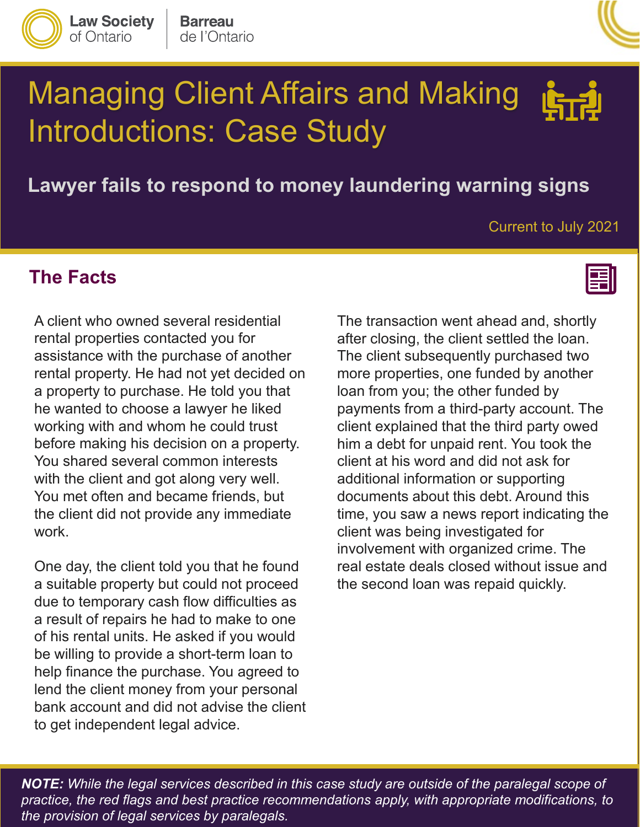

**Law Society** 

of Ontario



# Managing Client Affairs and Making Introductions: Case Study

**Lawyer fails to respond to money laundering warning signs**

#### Current to July 2021

#### **The Facts**

A client who owned several residential rental properties contacted you for assistance with the purchase of another rental property. He had not yet decided on a property to purchase. He told you that he wanted to choose a lawyer he liked working with and whom he could trust before making his decision on a property. You shared several common interests with the client and got along very well. You met often and became friends, but the client did not provide any immediate work.

One day, the client told you that he found a suitable property but could not proceed due to temporary cash flow difficulties as a result of repairs he had to make to one of his rental units. He asked if you would be willing to provide a short-term loan to help finance the purchase. You agreed to lend the client money from your personal bank account and did not advise the client to get independent legal advice.

The transaction went ahead and, shortly after closing, the client settled the loan. The client subsequently purchased two more properties, one funded by another loan from you; the other funded by payments from a third-party account. The client explained that the third party owed him a debt for unpaid rent. You took the client at his word and did not ask for additional information or supporting documents about this debt. Around this time, you saw a news report indicating the client was being investigated for involvement with organized crime. The real estate deals closed without issue and the second loan was repaid quickly.

*NOTE: While the legal services described in this case study are outside of the paralegal scope of practice, the red flags and best practice recommendations apply, with appropriate modifications, to the provision of legal services by paralegals.*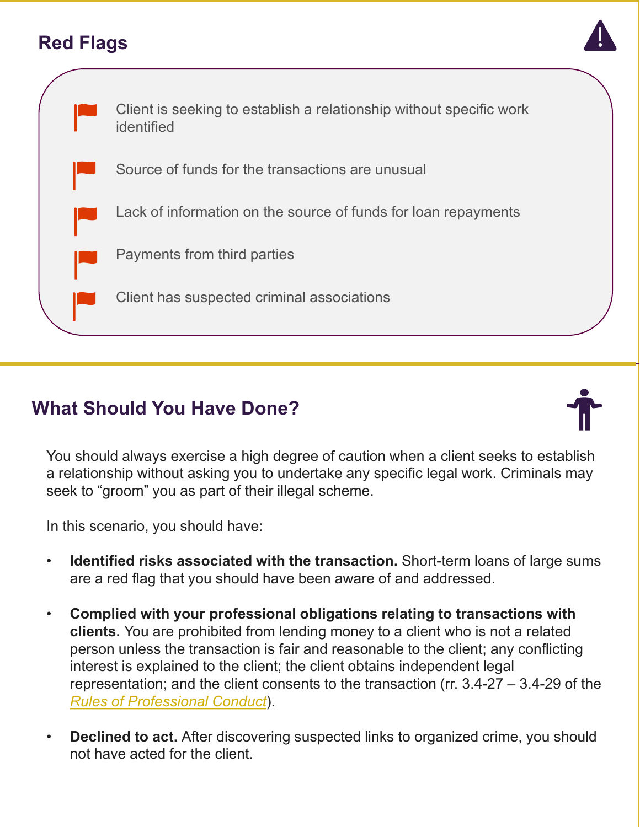## **Red Flags**





## **What Should You Have Done?**



You should always exercise a high degree of caution when a client seeks to establish a relationship without asking you to undertake any specific legal work. Criminals may seek to "groom" you as part of their illegal scheme.

In this scenario, you should have:

- **Identified risks associated with the transaction.** Short-term loans of large sums are a red flag that you should have been aware of and addressed.
- **Complied with your professional obligations relating to transactions with clients.** You are prohibited from lending money to a client who is not a related person unless the transaction is fair and reasonable to the client; any conflicting interest is explained to the client; the client obtains independent legal representation; and the client consents to the transaction (rr. 3.4-27 – 3.4-29 of the *[Rules of Professional Conduct](https://lso.ca/about-lso/legislation-rules/rules-of-professional-conduct)*).
- **Declined to act.** After discovering suspected links to organized crime, you should not have acted for the client.